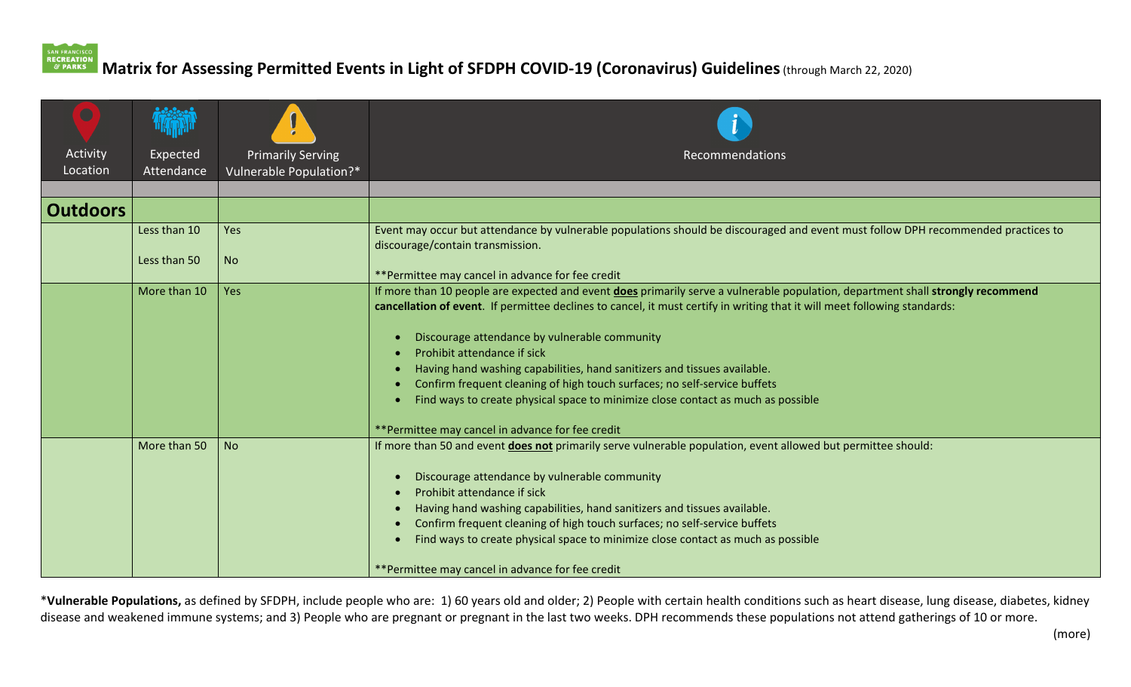## **Matrix for Assessing Permitted Events in Light of SFDPH COVID‐19 (Coronavirus) Guidelines**(through March 22, 2020)

| $\Box$               |                        |                                                     |                                                                                                                                                                                                                                                                                                                                                                                                                                                                                                                                                                                                                                               |
|----------------------|------------------------|-----------------------------------------------------|-----------------------------------------------------------------------------------------------------------------------------------------------------------------------------------------------------------------------------------------------------------------------------------------------------------------------------------------------------------------------------------------------------------------------------------------------------------------------------------------------------------------------------------------------------------------------------------------------------------------------------------------------|
| Activity<br>Location | Expected<br>Attendance | <b>Primarily Serving</b><br>Vulnerable Population?* | Recommendations                                                                                                                                                                                                                                                                                                                                                                                                                                                                                                                                                                                                                               |
|                      |                        |                                                     |                                                                                                                                                                                                                                                                                                                                                                                                                                                                                                                                                                                                                                               |
| <b>Outdoors</b>      |                        |                                                     |                                                                                                                                                                                                                                                                                                                                                                                                                                                                                                                                                                                                                                               |
|                      | Less than 10           | Yes                                                 | Event may occur but attendance by vulnerable populations should be discouraged and event must follow DPH recommended practices to<br>discourage/contain transmission.                                                                                                                                                                                                                                                                                                                                                                                                                                                                         |
|                      | Less than 50           | <b>No</b>                                           | **Permittee may cancel in advance for fee credit                                                                                                                                                                                                                                                                                                                                                                                                                                                                                                                                                                                              |
|                      | More than 10           | Yes                                                 | If more than 10 people are expected and event does primarily serve a vulnerable population, department shall strongly recommend<br>cancellation of event. If permittee declines to cancel, it must certify in writing that it will meet following standards:<br>Discourage attendance by vulnerable community<br>Prohibit attendance if sick<br>Having hand washing capabilities, hand sanitizers and tissues available.<br>Confirm frequent cleaning of high touch surfaces; no self-service buffets<br>Find ways to create physical space to minimize close contact as much as possible<br>**Permittee may cancel in advance for fee credit |
|                      | More than 50           | <b>No</b>                                           | If more than 50 and event does not primarily serve vulnerable population, event allowed but permittee should:<br>Discourage attendance by vulnerable community<br>Prohibit attendance if sick<br>Having hand washing capabilities, hand sanitizers and tissues available.<br>Confirm frequent cleaning of high touch surfaces; no self-service buffets<br>Find ways to create physical space to minimize close contact as much as possible<br>**Permittee may cancel in advance for fee credit                                                                                                                                                |

\***Vulnerable Populations,** as defined by SFDPH, include people who are: 1) 60 years old and older; 2) People with certain health conditions such as heart disease, lung disease, diabetes, kidney disease and weakened immune systems; and 3) People who are pregnant or pregnant in the last two weeks. DPH recommends these populations not attend gatherings of 10 or more.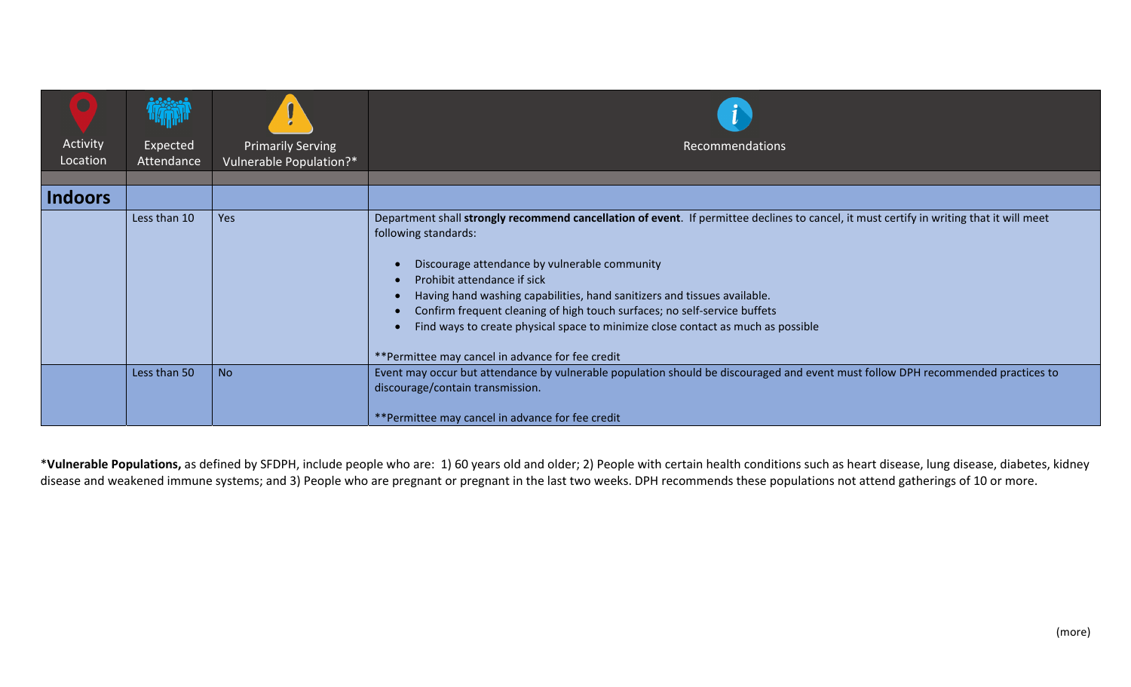| L.                   |                               |                                                     |                                                                                                                                                                                                                                                                                                                                                                                                                                                                                                                                                   |
|----------------------|-------------------------------|-----------------------------------------------------|---------------------------------------------------------------------------------------------------------------------------------------------------------------------------------------------------------------------------------------------------------------------------------------------------------------------------------------------------------------------------------------------------------------------------------------------------------------------------------------------------------------------------------------------------|
| Activity<br>Location | <b>Expected</b><br>Attendance | <b>Primarily Serving</b><br>Vulnerable Population?* | Recommendations                                                                                                                                                                                                                                                                                                                                                                                                                                                                                                                                   |
|                      |                               |                                                     |                                                                                                                                                                                                                                                                                                                                                                                                                                                                                                                                                   |
| Indoors              |                               |                                                     |                                                                                                                                                                                                                                                                                                                                                                                                                                                                                                                                                   |
|                      | Less than 10                  | Yes                                                 | Department shall strongly recommend cancellation of event. If permittee declines to cancel, it must certify in writing that it will meet<br>following standards:<br>Discourage attendance by vulnerable community<br>Prohibit attendance if sick<br>Having hand washing capabilities, hand sanitizers and tissues available.<br>Confirm frequent cleaning of high touch surfaces; no self-service buffets<br>Find ways to create physical space to minimize close contact as much as possible<br>**Permittee may cancel in advance for fee credit |
|                      | Less than 50                  | <b>No</b>                                           | Event may occur but attendance by vulnerable population should be discouraged and event must follow DPH recommended practices to<br>discourage/contain transmission.<br>**Permittee may cancel in advance for fee credit                                                                                                                                                                                                                                                                                                                          |

\***Vulnerable Populations,** as defined by SFDPH, include people who are: 1) 60 years old and older; 2) People with certain health conditions such as heart disease, lung disease, diabetes, kidney disease and weakened immune systems; and 3) People who are pregnant or pregnant in the last two weeks. DPH recommends these populations not attend gatherings of 10 or more.